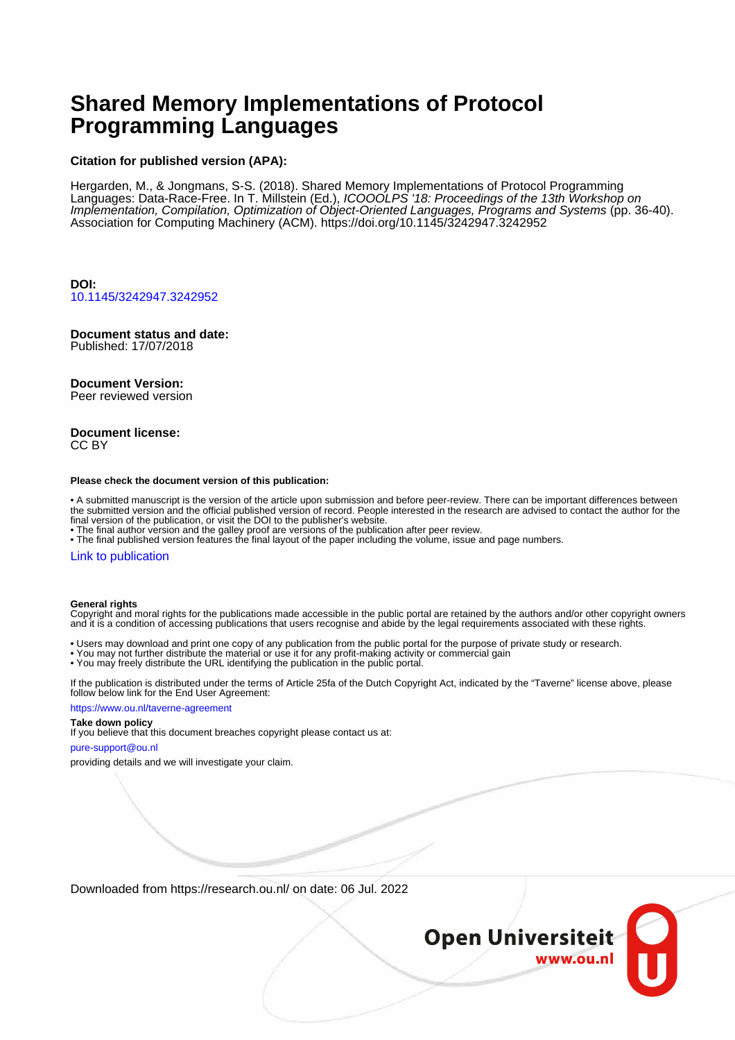# **Shared Memory Implementations of Protocol Programming Languages**

#### **Citation for published version (APA):**

Hergarden, M., & Jongmans, S-S. (2018). Shared Memory Implementations of Protocol Programming Languages: Data-Race-Free. In T. Millstein (Ed.), ICOOOLPS '18: Proceedings of the 13th Workshop on Implementation, Compilation, Optimization of Object-Oriented Languages, Programs and Systems (pp. 36-40). Association for Computing Machinery (ACM). <https://doi.org/10.1145/3242947.3242952>

**DOI:** [10.1145/3242947.3242952](https://doi.org/10.1145/3242947.3242952)

# **Document status and date:**

Published: 17/07/2018

#### **Document Version:**

Peer reviewed version

#### **Document license:** CC BY

#### **Please check the document version of this publication:**

• A submitted manuscript is the version of the article upon submission and before peer-review. There can be important differences between the submitted version and the official published version of record. People interested in the research are advised to contact the author for the final version of the publication, or visit the DOI to the publisher's website.

• The final author version and the galley proof are versions of the publication after peer review.

• The final published version features the final layout of the paper including the volume, issue and page numbers.

#### [Link to publication](https://research.ou.nl/en/publications/37c6b777-0f1f-4774-a210-172a497fde2c)

#### **General rights**

Copyright and moral rights for the publications made accessible in the public portal are retained by the authors and/or other copyright owners and it is a condition of accessing publications that users recognise and abide by the legal requirements associated with these rights.

- Users may download and print one copy of any publication from the public portal for the purpose of private study or research.
- You may not further distribute the material or use it for any profit-making activity or commercial gain
- You may freely distribute the URL identifying the publication in the public portal.

If the publication is distributed under the terms of Article 25fa of the Dutch Copyright Act, indicated by the "Taverne" license above, please follow below link for the End User Agreement:

#### https://www.ou.nl/taverne-agreement

# **Take down policy**

If you believe that this document breaches copyright please contact us at:

#### pure-support@ou.nl

providing details and we will investigate your claim.

Downloaded from https://research.ou.nl/ on date: 06 Jul. 2022

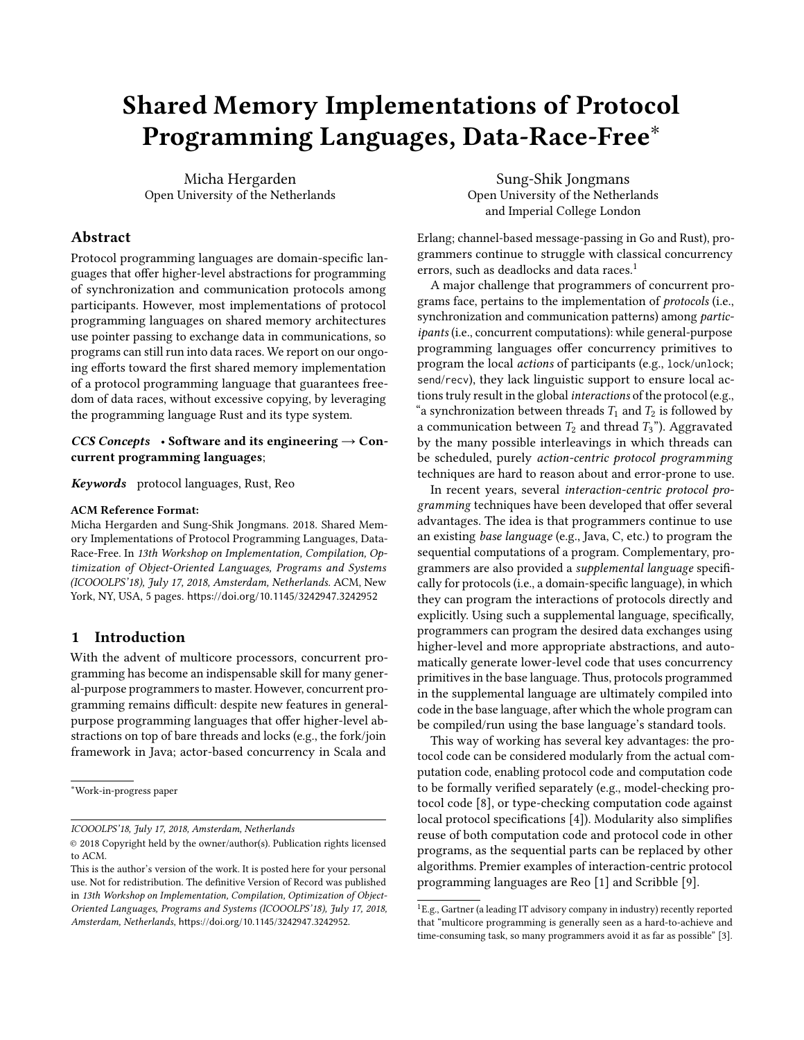# Shared Memory Implementations of Protocol Programming Languages, Data-Race-Free∗

Micha Hergarden Open University of the Netherlands

# Abstract

Protocol programming languages are domain-specific languages that offer higher-level abstractions for programming of synchronization and communication protocols among participants. However, most implementations of protocol programming languages on shared memory architectures use pointer passing to exchange data in communications, so programs can still run into data races. We report on our ongoing efforts toward the first shared memory implementation of a protocol programming language that guarantees freedom of data races, without excessive copying, by leveraging the programming language Rust and its type system.

#### CCS Concepts • Software and its engineering  $\rightarrow$  Concurrent programming languages;

Keywords protocol languages, Rust, Reo

#### ACM Reference Format:

Micha Hergarden and Sung-Shik Jongmans. 2018. Shared Memory Implementations of Protocol Programming Languages, Data-Race-Free. In 13th Workshop on Implementation, Compilation, Optimization of Object-Oriented Languages, Programs and Systems (ICOOOLPS'18), July 17, 2018, Amsterdam, Netherlands. ACM, New York, NY, USA, [5](#page-5-0) pages. <https://doi.org/10.1145/3242947.3242952>

## 1 Introduction

With the advent of multicore processors, concurrent programming has become an indispensable skill for many general-purpose programmers to master. However, concurrent programming remains difficult: despite new features in generalpurpose programming languages that offer higher-level abstractions on top of bare threads and locks (e.g., the fork/join framework in Java; actor-based concurrency in Scala and

ICOOOLPS'18, July 17, 2018, Amsterdam, Netherlands

Sung-Shik Jongmans Open University of the Netherlands and Imperial College London

Erlang; channel-based message-passing in Go and Rust), programmers continue to struggle with classical concurrency errors, such as deadlocks and data races.<sup>[1](#page-1-0)</sup>

A major challenge that programmers of concurrent programs face, pertains to the implementation of protocols (i.e., synchronization and communication patterns) among participants (i.e., concurrent computations): while general-purpose programming languages offer concurrency primitives to program the local actions of participants (e.g., lock/unlock; send/recv), they lack linguistic support to ensure local actions truly result in the global interactions of the protocol (e.g., "a synchronization between threads  $T_1$  and  $T_2$  is followed by a communication between  $T_2$  and thread  $T_3$ "). Aggravated by the many possible interleavings in which threads can be scheduled, purely action-centric protocol programming techniques are hard to reason about and error-prone to use.

In recent years, several interaction-centric protocol programming techniques have been developed that offer several advantages. The idea is that programmers continue to use an existing base language (e.g., Java, C, etc.) to program the sequential computations of a program. Complementary, programmers are also provided a supplemental language specifically for protocols (i.e., a domain-specific language), in which they can program the interactions of protocols directly and explicitly. Using such a supplemental language, specifically, programmers can program the desired data exchanges using higher-level and more appropriate abstractions, and automatically generate lower-level code that uses concurrency primitives in the base language. Thus, protocols programmed in the supplemental language are ultimately compiled into code in the base language, after which the whole program can be compiled/run using the base language's standard tools.

This way of working has several key advantages: the protocol code can be considered modularly from the actual computation code, enabling protocol code and computation code to be formally verified separately (e.g., model-checking protocol code [\[8\]](#page-5-1), or type-checking computation code against local protocol specifications [\[4\]](#page-4-0)). Modularity also simplifies reuse of both computation code and protocol code in other programs, as the sequential parts can be replaced by other algorithms. Premier examples of interaction-centric protocol programming languages are Reo [\[1\]](#page-4-1) and Scribble [\[9\]](#page-5-2).

<sup>∗</sup>Work-in-progress paper

<sup>©</sup> 2018 Copyright held by the owner/author(s). Publication rights licensed to ACM.

This is the author's version of the work. It is posted here for your personal use. Not for redistribution. The definitive Version of Record was published in 13th Workshop on Implementation, Compilation, Optimization of Object-Oriented Languages, Programs and Systems (ICOOOLPS'18), July 17, 2018, Amsterdam, Netherlands, <https://doi.org/10.1145/3242947.3242952>.

<span id="page-1-0"></span> ${}^{1}E.g., Gartner$  (a leading IT advisory company in industry) recently reported that "multicore programming is generally seen as a hard-to-achieve and time-consuming task, so many programmers avoid it as far as possible" [\[3\]](#page-4-2).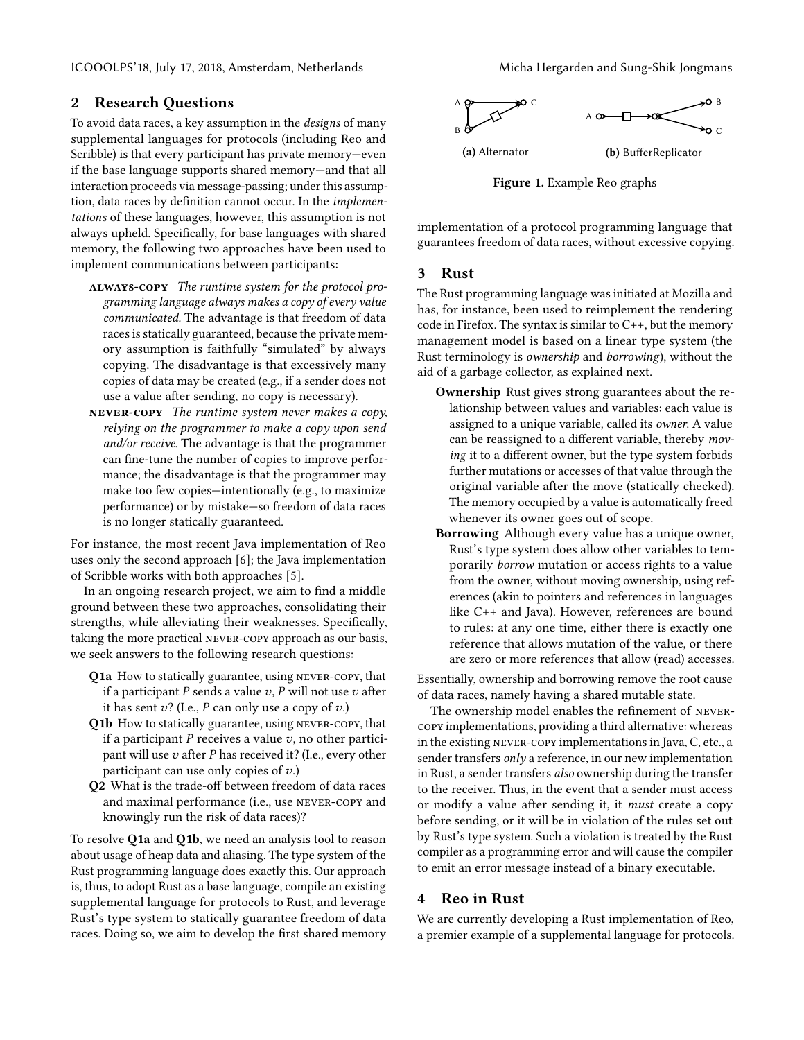# 2 Research Questions

To avoid data races, a key assumption in the designs of many supplemental languages for protocols (including Reo and Scribble) is that every participant has private memory—even if the base language supports shared memory—and that all interaction proceeds via message-passing; under this assumption, data races by definition cannot occur. In the implementations of these languages, however, this assumption is not always upheld. Specifically, for base languages with shared memory, the following two approaches have been used to implement communications between participants:

- always-copy The runtime system for the protocol programming language always makes a copy of every value communicated. The advantage is that freedom of data races is statically guaranteed, because the private memory assumption is faithfully "simulated" by always copying. The disadvantage is that excessively many copies of data may be created (e.g., if a sender does not use a value after sending, no copy is necessary).
- $NEVER-COPY$  The runtime system never makes a copy, relying on the programmer to make a copy upon send and/or receive. The advantage is that the programmer can fine-tune the number of copies to improve performance; the disadvantage is that the programmer may make too few copies—intentionally (e.g., to maximize performance) or by mistake—so freedom of data races is no longer statically guaranteed.

For instance, the most recent Java implementation of Reo uses only the second approach [\[6\]](#page-4-3); the Java implementation of Scribble works with both approaches [\[5\]](#page-4-4).

In an ongoing research project, we aim to find a middle ground between these two approaches, consolidating their strengths, while alleviating their weaknesses. Specifically, taking the more practical never-copy approach as our basis, we seek answers to the following research questions:

- Q1a How to statically guarantee, using never-copy, that if a participant  $P$  sends a value  $v$ ,  $P$  will not use  $v$  after it has sent  $v$ ? (I.e., P can only use a copy of  $v$ .)
- Q1b How to statically guarantee, using never-copy, that if a participant  $P$  receives a value  $v$ , no other participant will use  $v$  after P has received it? (I.e., every other participant can use only copies of  $v$ .)
- Q2 What is the trade-off between freedom of data races and maximal performance (i.e., use never-copy and knowingly run the risk of data races)?

To resolve Q1a and Q1b, we need an analysis tool to reason about usage of heap data and aliasing. The type system of the Rust programming language does exactly this. Our approach is, thus, to adopt Rust as a base language, compile an existing supplemental language for protocols to Rust, and leverage Rust's type system to statically guarantee freedom of data races. Doing so, we aim to develop the first shared memory

<span id="page-2-0"></span>

Figure 1. Example Reo graphs

implementation of a protocol programming language that guarantees freedom of data races, without excessive copying.

#### 3 Rust

The Rust programming language was initiated at Mozilla and has, for instance, been used to reimplement the rendering code in Firefox. The syntax is similar to C++, but the memory management model is based on a linear type system (the Rust terminology is ownership and borrowing), without the aid of a garbage collector, as explained next.

- Ownership Rust gives strong guarantees about the relationship between values and variables: each value is assigned to a unique variable, called its owner. A value can be reassigned to a different variable, thereby moving it to a different owner, but the type system forbids further mutations or accesses of that value through the original variable after the move (statically checked). The memory occupied by a value is automatically freed whenever its owner goes out of scope.
- Borrowing Although every value has a unique owner, Rust's type system does allow other variables to temporarily borrow mutation or access rights to a value from the owner, without moving ownership, using references (akin to pointers and references in languages like C++ and Java). However, references are bound to rules: at any one time, either there is exactly one reference that allows mutation of the value, or there are zero or more references that allow (read) accesses.

Essentially, ownership and borrowing remove the root cause of data races, namely having a shared mutable state.

The ownership model enables the refinement of nevercopy implementations, providing a third alternative: whereas in the existing never-copy implementations in Java, C, etc., a sender transfers only a reference, in our new implementation in Rust, a sender transfers also ownership during the transfer to the receiver. Thus, in the event that a sender must access or modify a value after sending it, it must create a copy before sending, or it will be in violation of the rules set out by Rust's type system. Such a violation is treated by the Rust compiler as a programming error and will cause the compiler to emit an error message instead of a binary executable.

# 4 Reo in Rust

We are currently developing a Rust implementation of Reo, a premier example of a supplemental language for protocols.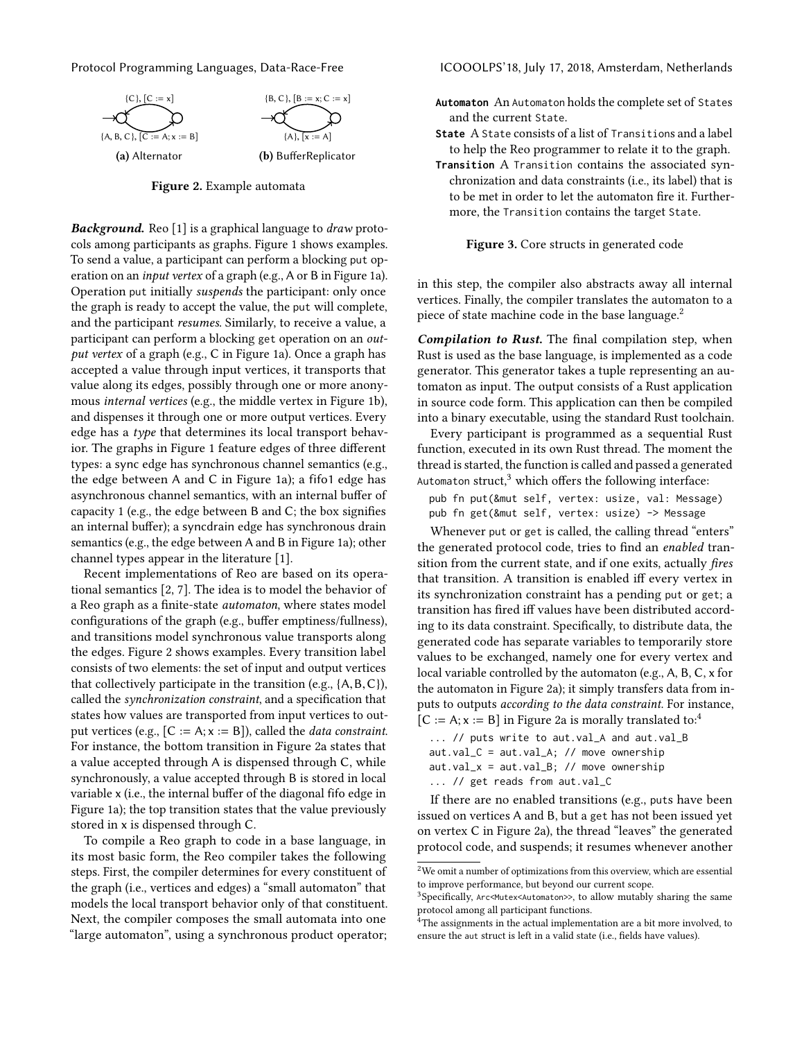<span id="page-3-0"></span>

Figure 2. Example automata

**Background.** Reo [\[1\]](#page-4-1) is a graphical language to *draw* protocols among participants as graphs. Figure [1](#page-2-0) shows examples. To send a value, a participant can perform a blocking put operation on an input vertex of a graph (e.g., A or B in Figure [1a\)](#page-2-0). Operation put initially suspends the participant: only once the graph is ready to accept the value, the put will complete, and the participant resumes. Similarly, to receive a value, a participant can perform a blocking get operation on an output vertex of a graph (e.g., C in Figure [1a\)](#page-2-0). Once a graph has accepted a value through input vertices, it transports that value along its edges, possibly through one or more anonymous internal vertices (e.g., the middle vertex in Figure [1b\)](#page-2-0), and dispenses it through one or more output vertices. Every edge has a type that determines its local transport behavior. The graphs in Figure [1](#page-2-0) feature edges of three different types: a sync edge has synchronous channel semantics (e.g., the edge between A and C in Figure [1a\)](#page-2-0); a fifo1 edge has asynchronous channel semantics, with an internal buffer of capacity 1 (e.g., the edge between B and C; the box signifies an internal buffer); a syncdrain edge has synchronous drain semantics (e.g., the edge between A and B in Figure [1a\)](#page-2-0); other channel types appear in the literature [\[1\]](#page-4-1).

Recent implementations of Reo are based on its operational semantics [\[2,](#page-4-5) [7\]](#page-4-6). The idea is to model the behavior of a Reo graph as a finite-state automaton, where states model configurations of the graph (e.g., buffer emptiness/fullness), and transitions model synchronous value transports along the edges. Figure [2](#page-3-0) shows examples. Every transition label consists of two elements: the set of input and output vertices that collectively participate in the transition (e.g.,  $\{A, B, C\}$ ), called the synchronization constraint, and a specification that states how values are transported from input vertices to output vertices (e.g.,  $[C := A; x := B]$ ), called the *data constraint*. For instance, the bottom transition in Figure [2a](#page-3-0) states that a value accepted through A is dispensed through C, while synchronously, a value accepted through B is stored in local variable x (i.e., the internal buffer of the diagonal fifo edge in Figure [1a\)](#page-2-0); the top transition states that the value previously stored in x is dispensed through C.

To compile a Reo graph to code in a base language, in its most basic form, the Reo compiler takes the following steps. First, the compiler determines for every constituent of the graph (i.e., vertices and edges) a "small automaton" that models the local transport behavior only of that constituent. Next, the compiler composes the small automata into one "large automaton", using a synchronous product operator;

Protocol Programming Languages, Data-Race-Free ICOOOLPS'18, July 17, 2018, Amsterdam, Netherlands

- <span id="page-3-4"></span>Automaton An Automaton holds the complete set of States and the current State.
- State A State consists of a list of Transitions and a label to help the Reo programmer to relate it to the graph.
- Transition A Transition contains the associated synchronization and data constraints (i.e., its label) that is to be met in order to let the automaton fire it. Furthermore, the Transition contains the target State.

Figure 3. Core structs in generated code

in this step, the compiler also abstracts away all internal vertices. Finally, the compiler translates the automaton to a piece of state machine code in the base language. $2^2$  $2^2$ 

Compilation to Rust. The final compilation step, when Rust is used as the base language, is implemented as a code generator. This generator takes a tuple representing an automaton as input. The output consists of a Rust application in source code form. This application can then be compiled into a binary executable, using the standard Rust toolchain.

Every participant is programmed as a sequential Rust function, executed in its own Rust thread. The moment the thread is started, the function is called and passed a generated Automaton struct, $3$  which offers the following interface:

pub fn put(&mut self, vertex: usize, val: Message) pub fn get(&mut self, vertex: usize) -> Message

Whenever put or get is called, the calling thread "enters" the generated protocol code, tries to find an enabled transition from the current state, and if one exits, actually fires that transition. A transition is enabled iff every vertex in its synchronization constraint has a pending put or get; a transition has fired iff values have been distributed according to its data constraint. Specifically, to distribute data, the generated code has separate variables to temporarily store values to be exchanged, namely one for every vertex and local variable controlled by the automaton (e.g., A, B, C, x for the automaton in Figure [2a\)](#page-3-0); it simply transfers data from inputs to outputs according to the data constraint. For instance,  $[C := A; x := B]$  in Figure [2a](#page-3-0) is morally translated to:<sup>[4](#page-3-3)</sup>

- ... // puts write to aut.val\_A and aut.val\_B
- aut.val\_C = aut.val\_A; // move ownership
- $aut.val_x = aut.val_B; // move ownership$
- ... // get reads from aut.val\_C

If there are no enabled transitions (e.g., puts have been issued on vertices A and B, but a get has not been issued yet on vertex C in Figure [2a\)](#page-3-0), the thread "leaves" the generated protocol code, and suspends; it resumes whenever another

<span id="page-3-1"></span> $^{2}$  We omit a number of optimizations from this overview, which are essential to improve performance, but beyond our current scope.

<span id="page-3-2"></span> $3$ Specifically, Arc<Mutex<Automaton>>, to allow mutably sharing the same protocol among all participant functions.

<span id="page-3-3"></span> $4$ The assignments in the actual implementation are a bit more involved, to ensure the aut struct is left in a valid state (i.e., fields have values).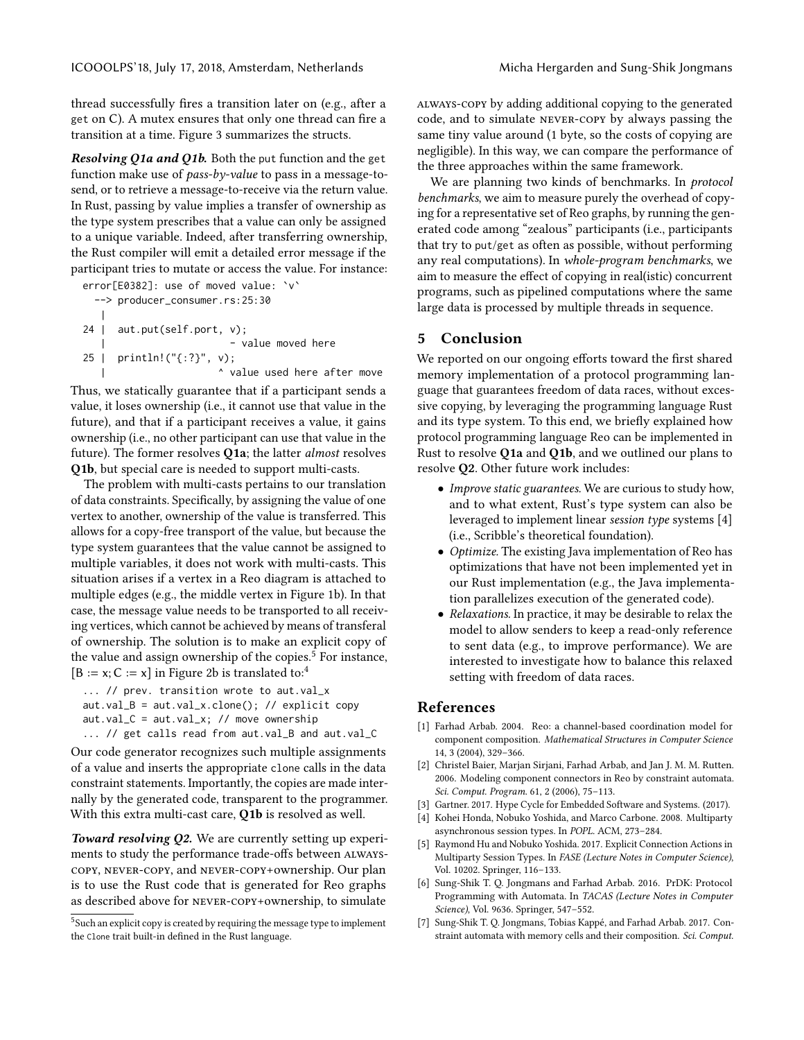thread successfully fires a transition later on (e.g., after a get on C). A mutex ensures that only one thread can fire a transition at a time. Figure [3](#page-3-4) summarizes the structs.

Resolving Q1a and Q1b. Both the put function and the get function make use of pass-by-value to pass in a message-tosend, or to retrieve a message-to-receive via the return value. In Rust, passing by value implies a transfer of ownership as the type system prescribes that a value can only be assigned to a unique variable. Indeed, after transferring ownership, the Rust compiler will emit a detailed error message if the participant tries to mutate or access the value. For instance:

error[E0382]: use of moved value: `v` --> producer\_consumer.rs:25:30 | 24 | aut.put(self.port, v); | - value moved here 25 | println!("{:?}", v); | ^ value used here after move

Thus, we statically guarantee that if a participant sends a value, it loses ownership (i.e., it cannot use that value in the future), and that if a participant receives a value, it gains ownership (i.e., no other participant can use that value in the future). The former resolves Q1a; the latter almost resolves Q1b, but special care is needed to support multi-casts.

The problem with multi-casts pertains to our translation of data constraints. Specifically, by assigning the value of one vertex to another, ownership of the value is transferred. This allows for a copy-free transport of the value, but because the type system guarantees that the value cannot be assigned to multiple variables, it does not work with multi-casts. This situation arises if a vertex in a Reo diagram is attached to multiple edges (e.g., the middle vertex in Figure [1b\)](#page-2-0). In that case, the message value needs to be transported to all receiving vertices, which cannot be achieved by means of transferal of ownership. The solution is to make an explicit copy of the value and assign ownership of the copies.<sup>[5](#page-4-7)</sup> For instance,  $[B := x; C := x]$  in Figure [2b](#page-3-0) is translated to:<sup>[4](#page-3-3)</sup>

```
... // prev. transition wrote to aut.val_x
```

```
aut.val_B = aut.val_x.close(); // explicit copyaut.val_C = aut.val_x; // move ownership
```
... // get calls read from aut.val\_B and aut.val\_C

Our code generator recognizes such multiple assignments of a value and inserts the appropriate clone calls in the data constraint statements. Importantly, the copies are made internally by the generated code, transparent to the programmer. With this extra multi-cast care, Q1b is resolved as well.

Toward resolving Q2. We are currently setting up experiments to study the performance trade-offs between alwayscopy, never-copy, and never-copy+ownership. Our plan is to use the Rust code that is generated for Reo graphs as described above for never-copy+ownership, to simulate

<span id="page-4-7"></span><sup>5</sup>Such an explicit copy is created by requiring the message type to implement the Clone trait built-in defined in the Rust language.

always-copy by adding additional copying to the generated code, and to simulate never-copy by always passing the same tiny value around (1 byte, so the costs of copying are negligible). In this way, we can compare the performance of the three approaches within the same framework.

We are planning two kinds of benchmarks. In *protocol* benchmarks, we aim to measure purely the overhead of copying for a representative set of Reo graphs, by running the generated code among "zealous" participants (i.e., participants that try to put/get as often as possible, without performing any real computations). In whole-program benchmarks, we aim to measure the effect of copying in real(istic) concurrent programs, such as pipelined computations where the same large data is processed by multiple threads in sequence.

## 5 Conclusion

We reported on our ongoing efforts toward the first shared memory implementation of a protocol programming language that guarantees freedom of data races, without excessive copying, by leveraging the programming language Rust and its type system. To this end, we briefly explained how protocol programming language Reo can be implemented in Rust to resolve Q1a and Q1b, and we outlined our plans to resolve Q2. Other future work includes:

- *Improve static guarantees*. We are curious to study how, and to what extent, Rust's type system can also be leveraged to implement linear session type systems [\[4\]](#page-4-0) (i.e., Scribble's theoretical foundation).
- Optimize. The existing Java implementation of Reo has optimizations that have not been implemented yet in our Rust implementation (e.g., the Java implementation parallelizes execution of the generated code).
- Relaxations. In practice, it may be desirable to relax the model to allow senders to keep a read-only reference to sent data (e.g., to improve performance). We are interested to investigate how to balance this relaxed setting with freedom of data races.

## References

- <span id="page-4-1"></span>[1] Farhad Arbab. 2004. Reo: a channel-based coordination model for component composition. Mathematical Structures in Computer Science 14, 3 (2004), 329–366.
- <span id="page-4-5"></span>[2] Christel Baier, Marjan Sirjani, Farhad Arbab, and Jan J. M. M. Rutten. 2006. Modeling component connectors in Reo by constraint automata. Sci. Comput. Program. 61, 2 (2006), 75–113.
- <span id="page-4-2"></span>[3] Gartner. 2017. Hype Cycle for Embedded Software and Systems. (2017).
- <span id="page-4-0"></span>[4] Kohei Honda, Nobuko Yoshida, and Marco Carbone. 2008. Multiparty asynchronous session types. In POPL. ACM, 273–284.
- <span id="page-4-4"></span>[5] Raymond Hu and Nobuko Yoshida. 2017. Explicit Connection Actions in Multiparty Session Types. In FASE (Lecture Notes in Computer Science), Vol. 10202. Springer, 116–133.
- <span id="page-4-3"></span>[6] Sung-Shik T. Q. Jongmans and Farhad Arbab. 2016. PrDK: Protocol Programming with Automata. In TACAS (Lecture Notes in Computer Science), Vol. 9636. Springer, 547–552.
- <span id="page-4-6"></span>[7] Sung-Shik T. Q. Jongmans, Tobias Kappé, and Farhad Arbab. 2017. Constraint automata with memory cells and their composition. Sci. Comput.